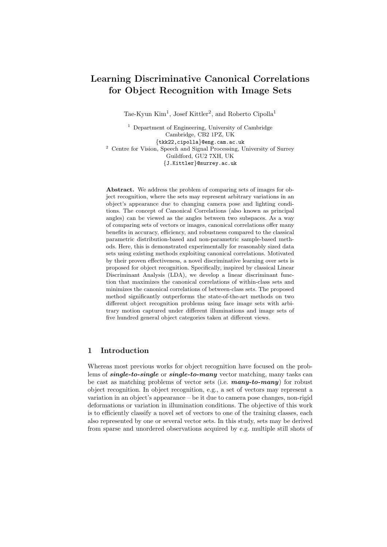# Learning Discriminative Canonical Correlations for Object Recognition with Image Sets

Tae-Kyun Kim<sup>1</sup>, Josef Kittler<sup>2</sup>, and Roberto Cipolla<sup>1</sup>

<sup>1</sup> Department of Engineering, University of Cambridge Cambridge, CB2 1PZ, UK {tkk22,cipolla}@eng.cam.ac.uk <sup>2</sup> Centre for Vision, Speech and Signal Processing, University of Surrey Guildford, GU2 7XH, UK {J.Kittler}@surrey.ac.uk

Abstract. We address the problem of comparing sets of images for object recognition, where the sets may represent arbitrary variations in an object's appearance due to changing camera pose and lighting conditions. The concept of Canonical Correlations (also known as principal angles) can be viewed as the angles between two subspaces. As a way of comparing sets of vectors or images, canonical correlations offer many benefits in accuracy, efficiency, and robustness compared to the classical parametric distribution-based and non-parametric sample-based methods. Here, this is demonstrated experimentally for reasonably sized data sets using existing methods exploiting canonical correlations. Motivated by their proven effectiveness, a novel discriminative learning over sets is proposed for object recognition. Specifically, inspired by classical Linear Discriminant Analysis (LDA), we develop a linear discriminant function that maximizes the canonical correlations of within-class sets and minimizes the canonical correlations of between-class sets. The proposed method significantly outperforms the state-of-the-art methods on two different object recognition problems using face image sets with arbitrary motion captured under different illuminations and image sets of five hundred general object categories taken at different views.

# 1 Introduction

Whereas most previous works for object recognition have focused on the problems of single-to-single or single-to-many vector matching, many tasks can be cast as matching problems of vector sets (i.e.  $many-to-many$ ) for robust object recognition. In object recognition, e.g., a set of vectors may represent a variation in an object's appearance – be it due to camera pose changes, non-rigid deformations or variation in illumination conditions. The objective of this work is to efficiently classify a novel set of vectors to one of the training classes, each also represented by one or several vector sets. In this study, sets may be derived from sparse and unordered observations acquired by e.g. multiple still shots of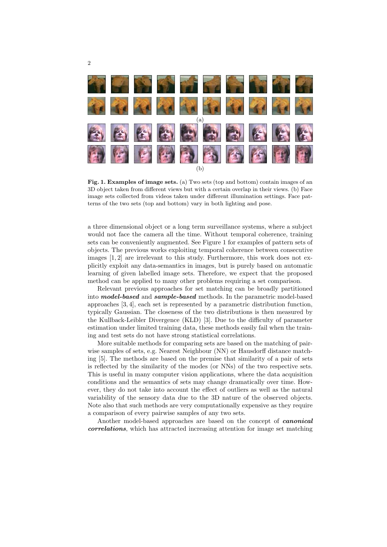

Fig. 1. Examples of image sets. (a) Two sets (top and bottom) contain images of an 3D object taken from different views but with a certain overlap in their views. (b) Face image sets collected from videos taken under different illumination settings. Face patterns of the two sets (top and bottom) vary in both lighting and pose.

a three dimensional object or a long term surveillance systems, where a subject would not face the camera all the time. Without temporal coherence, training sets can be conveniently augmented. See Figure 1 for examples of pattern sets of objects. The previous works exploiting temporal coherence between consecutive images [1, 2] are irrelevant to this study. Furthermore, this work does not explicitly exploit any data-semantics in images, but is purely based on automatic learning of given labelled image sets. Therefore, we expect that the proposed method can be applied to many other problems requiring a set comparison.

Relevant previous approaches for set matching can be broadly partitioned into model-based and sample-based methods. In the parametric model-based approaches [3, 4], each set is represented by a parametric distribution function, typically Gaussian. The closeness of the two distributions is then measured by the Kullback-Leibler Divergence (KLD) [3]. Due to the difficulty of parameter estimation under limited training data, these methods easily fail when the training and test sets do not have strong statistical correlations.

More suitable methods for comparing sets are based on the matching of pairwise samples of sets, e.g. Nearest Neighbour (NN) or Hausdorff distance matching [5]. The methods are based on the premise that similarity of a pair of sets is reflected by the similarity of the modes (or NNs) of the two respective sets. This is useful in many computer vision applications, where the data acquisition conditions and the semantics of sets may change dramatically over time. However, they do not take into account the effect of outliers as well as the natural variability of the sensory data due to the 3D nature of the observed objects. Note also that such methods are very computationally expensive as they require a comparison of every pairwise samples of any two sets.

Another model-based approaches are based on the concept of *canonical* correlations, which has attracted increasing attention for image set matching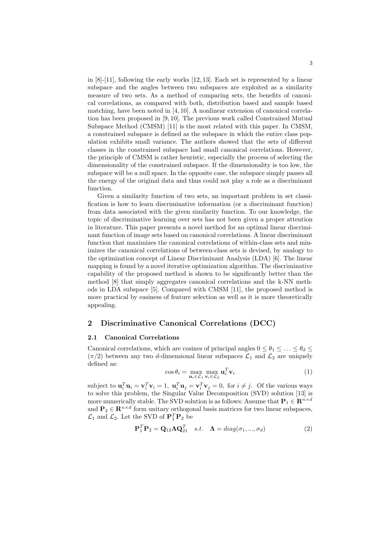in  $[8]-[11]$ , following the early works  $[12, 13]$ . Each set is represented by a linear subspace and the angles between two subspaces are exploited as a similarity measure of two sets. As a method of comparing sets, the benefits of canonical correlations, as compared with both, distribution based and sample based matching, have been noted in [4, 10]. A nonlinear extension of canonical correlation has been proposed in [9, 10]. The previous work called Constrained Mutual Subspace Method (CMSM) [11] is the most related with this paper. In CMSM, a constrained subspace is defined as the subspace in which the entire class population exhibits small variance. The authors showed that the sets of different classes in the constrained subspace had small canonical correlations. However, the principle of CMSM is rather heuristic, especially the process of selecting the dimensionality of the constrained subspace. If the dimensionality is too low, the subspace will be a null space. In the opposite case, the subspace simply passes all the energy of the original data and thus could not play a role as a discriminant function.

Given a similarity function of two sets, an important problem in set classification is how to learn discriminative information (or a discriminant function) from data associated with the given similarity function. To our knowledge, the topic of discriminative learning over sets has not been given a proper attention in literature. This paper presents a novel method for an optimal linear discriminant function of image sets based on canonical correlations. A linear discriminant function that maximizes the canonical correlations of within-class sets and minimizes the canonical correlations of between-class sets is devised, by analogy to the optimization concept of Linear Discriminant Analysis (LDA) [6]. The linear mapping is found by a novel iterative optimization algorithm. The discriminative capability of the proposed method is shown to be significantly better than the method [8] that simply aggregates canonical correlations and the k-NN methods in LDA subspace [5]. Compared with CMSM [11], the proposed method is more practical by easiness of feature selection as well as it is more theoretically appealing.

# 2 Discriminative Canonical Correlations (DCC)

# 2.1 Canonical Correlations

Canonical correlations, which are cosines of principal angles  $0 \le \theta_1 \le \ldots \le \theta_d \le$  $(\pi/2)$  between any two d-dimensional linear subspaces  $\mathcal{L}_1$  and  $\mathcal{L}_2$  are uniquely defined as:

$$
\cos \theta_i = \max_{\mathbf{u}_i \in \mathcal{L}_1} \max_{\mathbf{v}_i \in \mathcal{L}_2} \mathbf{u}_i^T \mathbf{v}_i \tag{1}
$$

subject to  $\mathbf{u}_i^T \mathbf{u}_i = \mathbf{v}_i^T \mathbf{v}_i = 1$ ,  $\mathbf{u}_i^T \mathbf{u}_j = \mathbf{v}_i^T \mathbf{v}_j = 0$ , for  $i \neq j$ . Of the various ways to solve this problem, the Singular Value Decomposition (SVD) solution [13] is more numerically stable. The SVD solution is as follows: Assume that  $P_1 \in \mathbb{R}^{n \times d}$ and  $P_2 \in \mathbb{R}^{n \times d}$  form unitary orthogonal basis matrices for two linear subspaces,  $\mathcal{L}_1$  and  $\mathcal{L}_2$ . Let the SVD of  $\mathbf{P}_1^T \mathbf{P}_2$  be

$$
\mathbf{P}_1^T \mathbf{P}_2 = \mathbf{Q}_{12} \mathbf{\Lambda} \mathbf{Q}_{21}^T \quad s.t. \quad \mathbf{\Lambda} = diag(\sigma_1, ..., \sigma_d)
$$
 (2)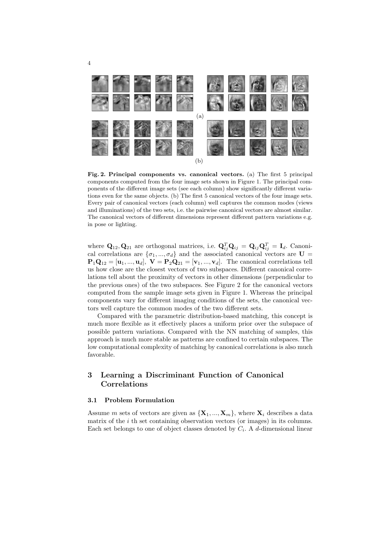

Fig. 2. Principal components vs. canonical vectors. (a) The first 5 principal components computed from the four image sets shown in Figure 1. The principal components of the different image sets (see each column) show significantly different variations even for the same objects. (b) The first 5 canonical vectors of the four image sets. Every pair of canonical vectors (each column) well captures the common modes (views and illuminations) of the two sets, i.e. the pairwise canonical vectors are almost similar. The canonical vectors of different dimensions represent different pattern variations e.g. in pose or lighting.

where  $\mathbf{Q}_{12}, \mathbf{Q}_{21}$  are orthogonal matrices, i.e.  $\mathbf{Q}_{ij}^T \mathbf{Q}_{ij} = \mathbf{Q}_{ij} \mathbf{Q}_{ij}^T = \mathbf{I}_d$ . Canonical correlations are  $\{\sigma_1, ..., \sigma_d\}$  and the associated canonical vectors are  $\mathbf{U} =$  $\mathbf{P}_1\mathbf{Q}_{12} = [\mathbf{u}_1, ..., \mathbf{u}_d], \mathbf{V} = \mathbf{P}_2\mathbf{Q}_{21} = [\mathbf{v}_1, ..., \mathbf{v}_d].$  The canonical correlations tell us how close are the closest vectors of two subspaces. Different canonical correlations tell about the proximity of vectors in other dimensions (perpendicular to the previous ones) of the two subspaces. See Figure 2 for the canonical vectors computed from the sample image sets given in Figure 1. Whereas the principal components vary for different imaging conditions of the sets, the canonical vectors well capture the common modes of the two different sets.

Compared with the parametric distribution-based matching, this concept is much more flexible as it effectively places a uniform prior over the subspace of possible pattern variations. Compared with the NN matching of samples, this approach is much more stable as patterns are confined to certain subspaces. The low computational complexity of matching by canonical correlations is also much favorable.

# 3 Learning a Discriminant Function of Canonical Correlations

### 3.1 Problem Formulation

4

Assume m sets of vectors are given as  $\{X_1, ..., X_m\}$ , where  $X_i$  describes a data matrix of the i th set containing observation vectors (or images) in its columns. Each set belongs to one of object classes denoted by  $C_i$ . A d-dimensional linear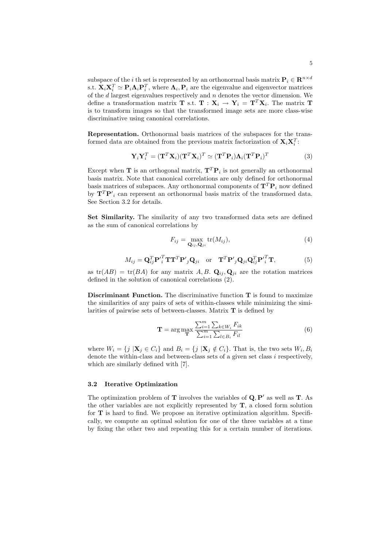subspace of the *i* th set is represented by an orthonormal basis matrix  $P_i \in \mathbb{R}^{n \times d}$ s.t.  $X_i X_i^T \simeq P_i \Lambda_i P_i^T$ , where  $\Lambda_i$ ,  $P_i$  are the eigenvalue and eigenvector matrices of the  $d$  largest eigenvalues respectively and  $n$  denotes the vector dimension. We define a transformation matrix **T** s.t. **T** :  $\mathbf{X}_i \to \mathbf{Y}_i = \mathbf{T}^T \mathbf{X}_i$ . The matrix **T** is to transform images so that the transformed image sets are more class-wise discriminative using canonical correlations.

Representation. Orthonormal basis matrices of the subspaces for the transformed data are obtained from the previous matrix factorization of  $\mathbf{X}_i \mathbf{X}_i^T$ :

$$
\mathbf{Y}_i \mathbf{Y}_i^T = (\mathbf{T}^T \mathbf{X}_i)(\mathbf{T}^T \mathbf{X}_i)^T \simeq (\mathbf{T}^T \mathbf{P}_i) \mathbf{\Lambda}_i (\mathbf{T}^T \mathbf{P}_i)^T
$$
(3)

Except when **T** is an orthogonal matrix,  $T^T P_i$  is not generally an orthonormal basis matrix. Note that canonical correlations are only defined for orthonormal basis matrices of subspaces. Any orthonormal components of  $\mathbf{T}^T \mathbf{P}_i$  now defined by  $T^T P'$  can represent an orthonormal basis matrix of the transformed data. See Section 3.2 for details.

Set Similarity. The similarity of any two transformed data sets are defined as the sum of canonical correlations by

$$
F_{ij} = \max_{\mathbf{Q}_{ij}, \mathbf{Q}_{ji}} \text{tr}(M_{ij}),\tag{4}
$$

$$
M_{ij} = \mathbf{Q}_{ij}^T \mathbf{P'}_i^T \mathbf{T} \mathbf{T}^T \mathbf{P'}_j \mathbf{Q}_{ji} \quad \text{or} \quad \mathbf{T}^T \mathbf{P'}_j \mathbf{Q}_{ji} \mathbf{Q}_{ij}^T \mathbf{P'}_i^T \mathbf{T}, \tag{5}
$$

as  $tr(AB) = tr(BA)$  for any matrix A, B.  $\mathbf{Q}_{ij}$ ,  $\mathbf{Q}_{ji}$  are the rotation matrices defined in the solution of canonical correlations (2).

Discriminant Function. The discriminative function  $T$  is found to maximize the similarities of any pairs of sets of within-classes while minimizing the similarities of pairwise sets of between-classes. Matrix  $T$  is defined by

$$
\mathbf{T} = \arg \max_{\mathbf{T}} \frac{\sum_{i=1}^{m} \sum_{k \in W_i} F_{ik}}{\sum_{i=1}^{m} \sum_{l \in B_i} F_{il}}
$$
(6)

where  $W_i = \{j \mid \mathbf{X}_j \in C_i\}$  and  $B_i = \{j \mid \mathbf{X}_j \notin C_i\}$ . That is, the two sets  $W_i, B_i$ denote the within-class and between-class sets of a given set class  $i$  respectively, which are similarly defined with [7].

#### 3.2 Iterative Optimization

The optimization problem of **T** involves the variables of  $\mathbf{Q}, \mathbf{P}'$  as well as **T**. As the other variables are not explicitly represented by  $T$ , a closed form solution for T is hard to find. We propose an iterative optimization algorithm. Specifically, we compute an optimal solution for one of the three variables at a time by fixing the other two and repeating this for a certain number of iterations.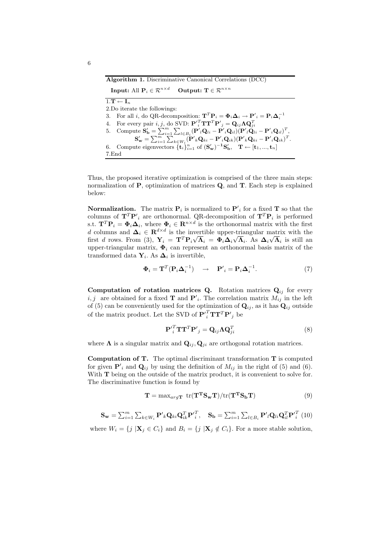Algorithm 1. Discriminative Canonical Correlations (DCC)

**Input:** All  $P_i \in \mathbb{R}^{n \times d}$  Output:  $T \in \mathbb{R}^{n \times n}$  $\overline{1.\mathbf{T}-\mathbf{I}_n}$ 2.Do iterate the followings: 3. For all *i*, do QR-decomposition:  $\mathbf{T}^T \mathbf{P}_i = \mathbf{\Phi}_i \mathbf{\Delta}_i \rightarrow \mathbf{P}'_i = \mathbf{P}_i \mathbf{\Delta}_i^{-1}$ 3. For an *i*, do Qit-decomposition:  $\mathbf{T} \cdot \mathbf{T}_i = \mathbf{v}_i \Delta_i \rightarrow \mathbf{T}_i = \mathbf{v}_i \Delta_i$ <br>
4. For every pair *i*, *j*, do SVD:  $\mathbf{P}'_i^T \mathbf{T} \mathbf{T}^T \mathbf{P}'_j = \mathbf{Q}_{ij} \mathbf{\Lambda} \mathbf{Q}_{ji}^T$ <br>
5. Compute  $\mathbf{S}'_b = \sum_{i=1}^m \sum_{l \in B_i} (\mathbf$  $i=1$  $\tilde{P}$  $\mathbf{P}_{l} \in \! B_i \! \left( \mathbf{P}^{\prime}{}_l \mathbf{Q}_{li} - \mathbf{P}^{\prime}{}_i \mathbf{Q}_{il} \right) \! \left( \mathbf{P}^{\prime}{}_l \dot{\mathbf{Q}}_{li} - \mathbf{P}^{\prime}{}_i \mathbf{Q}_{il} \right)^T \! ,$  $S'_w = \sum_{i=1}^m$  $\rightleftharpoons$  $\mathbf{R}_{k \in W_i}(\mathbf{P}^\prime \mathbf{{}_k} \mathbf{Q}_{ki} - \mathbf{P}^\prime \mathbf{{}_i} \mathbf{Q}_{ik})(\mathbf{P}^\prime \mathbf{{}_k} \mathbf{Q}_{ki} - \mathbf{P}^\prime \mathbf{{}_i} \mathbf{Q}_{ik})^T.$ 6. Compute eigenvectors  $\{\mathbf{t}_i\}_{i=1}^n$  of  $(\mathbf{S}'_{\mathbf{w}})^{-1}\mathbf{S}'_{\mathbf{b}}, \quad \mathbf{T} \leftarrow [\mathbf{t}_1, ..., \mathbf{t}_n]$ 7.End

Thus, the proposed iterative optimization is comprised of the three main steps: normalization of  $P$ , optimization of matrices  $Q$ , and  $T$ . Each step is explained below:

**Normalization.** The matrix  $P_i$  is normalized to  $P'_i$  for a fixed **T** so that the columns of  $T^T P'$  are orthonormal. QR-decomposition of  $T^T P_i$  is performed s.t.  $T^T P_i = \Phi_i \Delta_i$ , where  $\Phi_i \in \mathbb{R}^{n \times d}$  is the orthonormal matrix with the first d columns and  $\Delta_i \in \mathbb{R}^{d \times d}$  is the invertible upper-triangular matrix with the first d rows. From (3),  $\mathbf{Y}_i = \mathbf{T}^T \mathbf{P}_i \sqrt{\mathbf{\Lambda}}_i = \mathbf{\Phi}_i \mathbf{\Delta}_i \sqrt{\mathbf{\Lambda}}_i$ . As  $\mathbf{\Delta}_i \sqrt{\mathbf{\Lambda}}_i$  is still an upper-triangular matrix,  $\Phi_i$  can represent an orthonormal basis matrix of the transformed data  $\mathbf{Y}_i$ . As  $\mathbf{\Delta}_i$  is invertible,

$$
\Phi_i = \mathbf{T}^T (\mathbf{P}_i \mathbf{\Delta}_i^{-1}) \quad \rightarrow \quad \mathbf{P'}_i = \mathbf{P}_i \mathbf{\Delta}_i^{-1}.
$$
 (7)

Computation of rotation matrices Q. Rotation matrices  $Q_{ij}$  for every i, j are obtained for a fixed **T** and  $\mathbf{P}'_i$ . The correlation matrix  $M_{ij}$  in the left of (5) can be conveniently used for the optimization of  $\mathbf{Q}_{ij}$ , as it has  $\mathbf{Q}_{ij}$  outside of the matrix product. Let the SVD of  ${\bf P'}_i^T {\bf T} {\bf T}' {\bf P'}_j$  be

$$
\mathbf{P'}_i^T \mathbf{T} \mathbf{T}^T \mathbf{P'}_j = \mathbf{Q}_{ij} \mathbf{\Lambda} \mathbf{Q}_{ji}^T
$$
 (8)

where  $\Lambda$  is a singular matrix and  $\mathbf{Q}_{ij}, \mathbf{Q}_{ji}$  are orthogonal rotation matrices.

Computation of T. The optimal discriminant transformation T is computed for given  $\mathbf{P}'_i$  and  $\mathbf{Q}_{ij}$  by using the definition of  $M_{ij}$  in the right of (5) and (6). With **T** being on the outside of the matrix product, it is convenient to solve for. The discriminative function is found by

$$
\mathbf{T} = \max_{arg \mathbf{T}} \text{tr}(\mathbf{T}^{\mathbf{T}} \mathbf{S}_{\mathbf{w}} \mathbf{T}) / \text{tr}(\mathbf{T}^{\mathbf{T}} \mathbf{S}_{\mathbf{b}} \mathbf{T}) \tag{9}
$$

$$
\mathbf{S_w} = \sum_{i=1}^{m} \sum_{k \in W_i} \mathbf{P}'_k \mathbf{Q}_{ki} \mathbf{Q}_{ik}^T \mathbf{P}'_i^T, \quad \mathbf{S_b} = \sum_{i=1}^{m} \sum_{l \in B_i} \mathbf{P}'_l \mathbf{Q}_{li} \mathbf{Q}_{il}^T \mathbf{P}'_i^T \tag{10}
$$

where  $W_i = \{j | \mathbf{X}_j \in C_i\}$  and  $B_i = \{j | \mathbf{X}_j \notin C_i\}$ . For a more stable solution,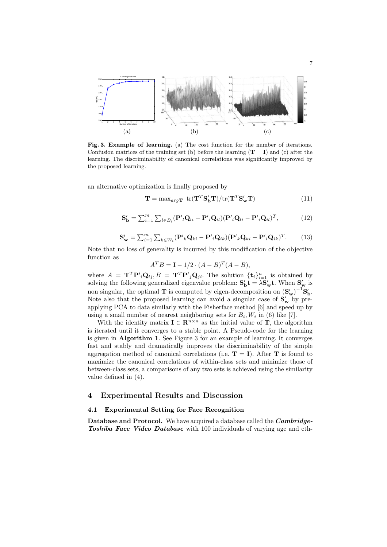

Fig. 3. Example of learning. (a) The cost function for the number of iterations. Confusion matrices of the training set (b) before the learning  $(T = I)$  and (c) after the learning. The discriminability of canonical correlations was significantly improved by the proposed learning.

an alternative optimization is finally proposed by

$$
\mathbf{T} = \max_{arg \mathbf{T}} \text{tr}(\mathbf{T}^T \mathbf{S}'_{\mathbf{b}} \mathbf{T}) / \text{tr}(\mathbf{T}^T \mathbf{S}'_{\mathbf{w}} \mathbf{T}) \tag{11}
$$

$$
\mathbf{S}_{\mathbf{b}}' = \sum_{i=1}^{m} \sum_{l \in B_i} (\mathbf{P}'_l \mathbf{Q}_{li} - \mathbf{P}'_i \mathbf{Q}_{il}) (\mathbf{P}'_l \mathbf{Q}_{li} - \mathbf{P}'_i \mathbf{Q}_{il})^T, \qquad (12)
$$

$$
\mathbf{S}_{\mathbf{w}}' = \sum_{i=1}^{m} \sum_{k \in W_i} (\mathbf{P}'_k \mathbf{Q}_{ki} - \mathbf{P}'_i \mathbf{Q}_{ik}) (\mathbf{P}'_k \mathbf{Q}_{ki} - \mathbf{P}'_i \mathbf{Q}_{ik})^T.
$$
 (13)

Note that no loss of generality is incurred by this modification of the objective function as

$$
A^T B = \mathbf{I} - 1/2 \cdot (A - B)^T (A - B),
$$

where  $A = \mathbf{T}^T \mathbf{P}'_i \mathbf{Q}_{ij}, B = \mathbf{T}^T \mathbf{P}'_j \mathbf{Q}_{ji}.$  The solution  $\{\mathbf{t}_i\}_{i=1}^n$  is obtained by solving the following generalized eigenvalue problem:  $S'_{b}t = \lambda S'_{w}t$ . When  $S'_{w}$  is non singular, the optimal **T** is computed by eigen-decomposition on  $(S'_w)^{-1}S'_b$ . Note also that the proposed learning can avoid a singular case of  $S'_{w}$  by preapplying PCA to data similarly with the Fisherface method [6] and speed up by using a small number of nearest neighboring sets for  $B_i$ ,  $W_i$  in (6) like [7].

With the identity matrix  $I \in \mathbb{R}^{n \times n}$  as the initial value of **T**, the algorithm is iterated until it converges to a stable point. A Pseudo-code for the learning is given in Algorithm 1. See Figure 3 for an example of learning. It converges fast and stably and dramatically improves the discriminability of the simple aggregation method of canonical correlations (i.e.  $T = I$ ). After T is found to maximize the canonical correlations of within-class sets and minimize those of between-class sets, a comparisons of any two sets is achieved using the similarity value defined in (4).

# 4 Experimental Results and Discussion

### 4.1 Experimental Setting for Face Recognition

Database and Protocol. We have acquired a database called the *Cambridge*-Toshiba Face Video Database with 100 individuals of varying age and eth-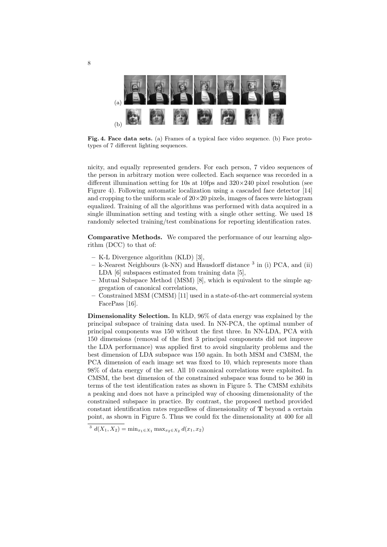

Fig. 4. Face data sets. (a) Frames of a typical face video sequence. (b) Face prototypes of 7 different lighting sequences.

nicity, and equally represented genders. For each person, 7 video sequences of the person in arbitrary motion were collected. Each sequence was recorded in a different illumination setting for 10s at 10fps and  $320\times240$  pixel resolution (see Figure 4). Following automatic localization using a cascaded face detector [14] and cropping to the uniform scale of  $20\times20$  pixels, images of faces were histogram equalized. Training of all the algorithms was performed with data acquired in a single illumination setting and testing with a single other setting. We used 18 randomly selected training/test combinations for reporting identification rates.

Comparative Methods. We compared the performance of our learning algorithm (DCC) to that of:

- K-L Divergence algorithm (KLD) [3],
- k-Nearest Neighbours (k-NN) and Hausdorff distance <sup>3</sup> in (i) PCA, and (ii) LDA [6] subspaces estimated from training data [5],
- Mutual Subspace Method (MSM) [8], which is equivalent to the simple aggregation of canonical correlations,
- Constrained MSM (CMSM) [11] used in a state-of-the-art commercial system FacePass [16].

Dimensionality Selection. In KLD, 96% of data energy was explained by the principal subspace of training data used. In NN-PCA, the optimal number of principal components was 150 without the first three. In NN-LDA, PCA with 150 dimensions (removal of the first 3 principal components did not improve the LDA performance) was applied first to avoid singularity problems and the best dimension of LDA subspace was 150 again. In both MSM and CMSM, the PCA dimension of each image set was fixed to 10, which represents more than 98% of data energy of the set. All 10 canonical correlations were exploited. In CMSM, the best dimension of the constrained subspace was found to be 360 in terms of the test identification rates as shown in Figure 5. The CMSM exhibits a peaking and does not have a principled way of choosing dimensionality of the constrained subspace in practice. By contrast, the proposed method provided constant identification rates regardless of dimensionality of  $T$  beyond a certain point, as shown in Figure 5. Thus we could fix the dimensionality at 400 for all

<sup>&</sup>lt;sup>3</sup>  $d(X_1, X_2) = \min_{x_1 \in X_1} \max_{x_2 \in X_2} d(x_1, x_2)$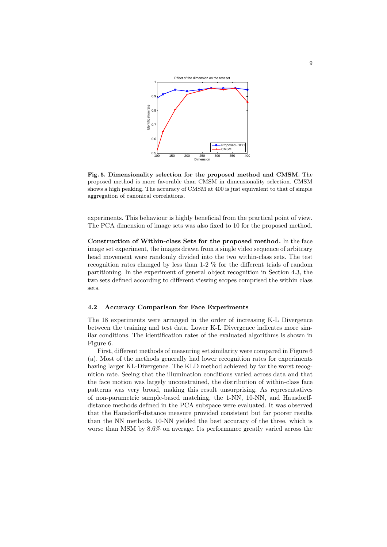

Fig. 5. Dimensionality selection for the proposed method and CMSM. The proposed method is more favorable than CMSM in dimensionality selection. CMSM shows a high peaking. The accuracy of CMSM at 400 is just equivalent to that of simple aggregation of canonical correlations.

experiments. This behaviour is highly beneficial from the practical point of view. The PCA dimension of image sets was also fixed to 10 for the proposed method.

Construction of Within-class Sets for the proposed method. In the face image set experiment, the images drawn from a single video sequence of arbitrary head movement were randomly divided into the two within-class sets. The test recognition rates changed by less than 1-2 % for the different trials of random partitioning. In the experiment of general object recognition in Section 4.3, the two sets defined according to different viewing scopes comprised the within class sets.

#### 4.2 Accuracy Comparison for Face Experiments

The 18 experiments were arranged in the order of increasing K-L Divergence between the training and test data. Lower K-L Divergence indicates more similar conditions. The identification rates of the evaluated algorithms is shown in Figure 6.

First, different methods of measuring set similarity were compared in Figure 6 (a). Most of the methods generally had lower recognition rates for experiments having larger KL-Divergence. The KLD method achieved by far the worst recognition rate. Seeing that the illumination conditions varied across data and that the face motion was largely unconstrained, the distribution of within-class face patterns was very broad, making this result unsurprising. As representatives of non-parametric sample-based matching, the 1-NN, 10-NN, and Hausdorffdistance methods defined in the PCA subspace were evaluated. It was observed that the Hausdorff-distance measure provided consistent but far poorer results than the NN methods. 10-NN yielded the best accuracy of the three, which is worse than MSM by 8.6% on average. Its performance greatly varied across the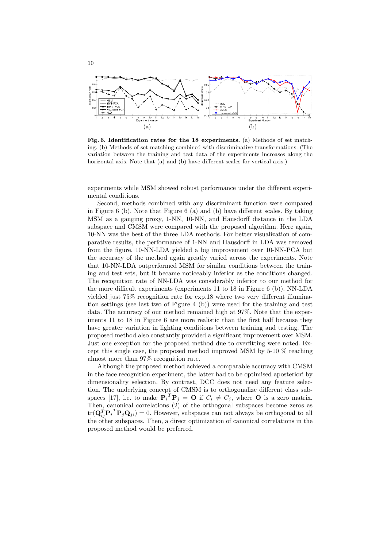

Fig. 6. Identification rates for the 18 experiments. (a) Methods of set matching. (b) Methods of set matching combined with discriminative transformations. (The variation between the training and test data of the experiments increases along the horizontal axis. Note that (a) and (b) have different scales for vertical axis.)

experiments while MSM showed robust performance under the different experimental conditions.

Second, methods combined with any discriminant function were compared in Figure 6 (b). Note that Figure 6 (a) and (b) have different scales. By taking MSM as a gauging proxy, 1-NN, 10-NN, and Hausdorff distance in the LDA subspace and CMSM were compared with the proposed algorithm. Here again, 10-NN was the best of the three LDA methods. For better visualization of comparative results, the performance of 1-NN and Hausdorff in LDA was removed from the figure. 10-NN-LDA yielded a big improvement over 10-NN-PCA but the accuracy of the method again greatly varied across the experiments. Note that 10-NN-LDA outperformed MSM for similar conditions between the training and test sets, but it became noticeably inferior as the conditions changed. The recognition rate of NN-LDA was considerably inferior to our method for the more difficult experiments (experiments 11 to 18 in Figure 6 (b)). NN-LDA yielded just 75% recognition rate for exp.18 where two very different illumination settings (see last two of Figure 4 (b)) were used for the training and test data. The accuracy of our method remained high at 97%. Note that the experiments 11 to 18 in Figure 6 are more realistic than the first half because they have greater variation in lighting conditions between training and testing. The proposed method also constantly provided a significant improvement over MSM. Just one exception for the proposed method due to overfitting were noted. Except this single case, the proposed method improved MSM by 5-10 % reaching almost more than 97% recognition rate.

Although the proposed method achieved a comparable accuracy with CMSM in the face recognition experiment, the latter had to be optimised aposteriori by dimensionality selection. By contrast, DCC does not need any feature selection. The underlying concept of CMSM is to orthogonalize different class subspaces [17], i.e. to make  $\mathbf{P}_i^T \mathbf{P}_j = \mathbf{O}$  if  $C_i \neq C_j$ , where  $\mathbf{O}$  is a zero matrix. Then, canonical correlations (2) of the orthogonal subspaces become zeros as  $\text{tr}(\mathbf{Q}_{ij}^T \mathbf{P}_i^T \mathbf{P}_j \mathbf{Q}_{ji}) = 0.$  However, subspaces can not always be orthogonal to all the other subspaces. Then, a direct optimization of canonical correlations in the proposed method would be preferred.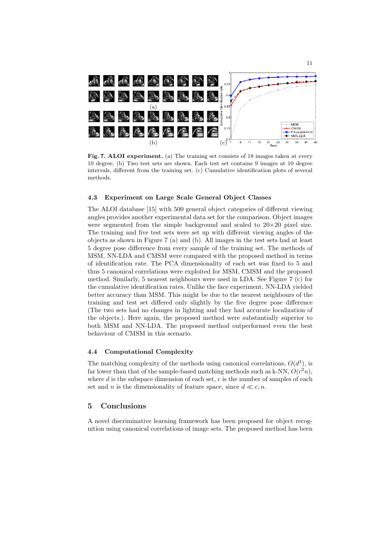

Fig. 7. ALOI experiment. (a) The training set consists of 18 images taken at every 10 degree. (b) Two test sets are shown. Each test set contains 9 images at 10 degree intervals, different from the training set. (c) Cumulative identification plots of several methods.

#### 4.3 Experiment on Large Scale General Object Classes

The ALOI database [15] with 500 general object categories of different viewing angles provides another experimental data set for the comparison. Object images were segmented from the simple background and scaled to  $20 \times 20$  pixel size. The training and five test sets were set up with different viewing angles of the objects as shown in Figure 7 (a) and (b). All images in the test sets had at least 5 degree pose difference from every sample of the training set. The methods of MSM, NN-LDA and CMSM were compared with the proposed method in terms of identification rate. The PCA dimensionality of each set was fixed to 5 and thus 5 canonical correlations were exploited for MSM, CMSM and the proposed method. Similarly, 5 nearest neighbours were used in LDA. See Figure 7 (c) for the cumulative identification rates. Unlike the face experiment, NN-LDA yielded better accuracy than MSM. This might be due to the nearest neighbours of the training and test set differed only slightly by the five degree pose difference (The two sets had no changes in lighting and they had accurate localization of the objects.). Here again, the proposed method were substantially superior to both MSM and NN-LDA. The proposed method outperformed even the best behaviour of CMSM in this scenario.

# 4.4 Computational Complexity

The matching complexity of the methods using canonical correlations,  $O(d^3)$ , is far lower than that of the sample-based matching methods such as k-NN,  $O(c^2n)$ , where  $d$  is the subspace dimension of each set,  $c$  is the number of samples of each set and n is the dimensionality of feature space, since  $d \ll c, n$ .

# 5 Conclusions

A novel discriminative learning framework has been proposed for object recognition using canonical correlations of image sets. The proposed method has been